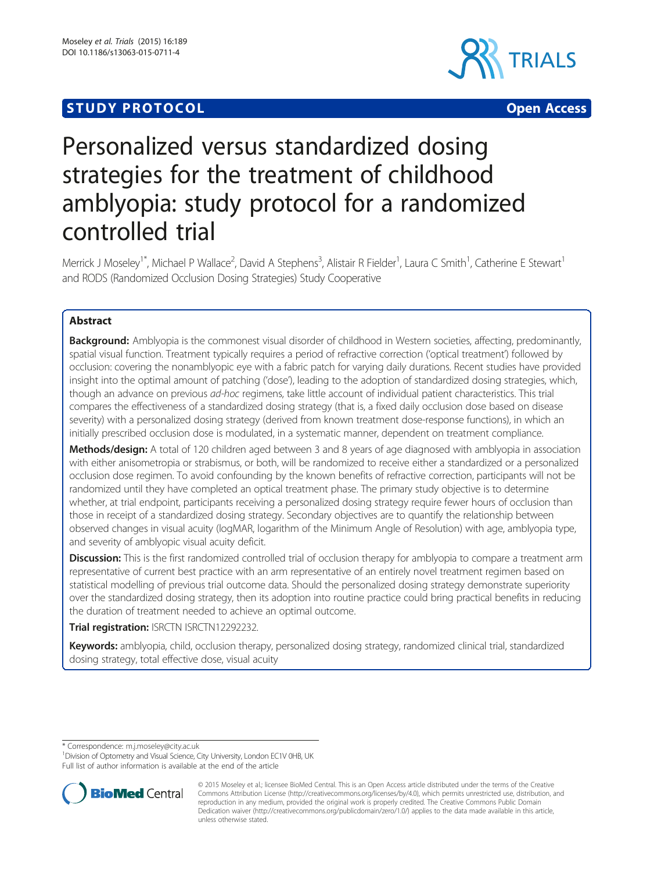# **STUDY PROTOCOL CONSUMING THE CONSUMING OPEN ACCESS**



# Personalized versus standardized dosing strategies for the treatment of childhood amblyopia: study protocol for a randomized controlled trial

Merrick J Moseley<sup>1\*</sup>, Michael P Wallace<sup>2</sup>, David A Stephens<sup>3</sup>, Alistair R Fielder<sup>1</sup>, Laura C Smith<sup>1</sup>, Catherine E Stewart<sup>1</sup> and RODS (Randomized Occlusion Dosing Strategies) Study Cooperative

# Abstract

Background: Amblyopia is the commonest visual disorder of childhood in Western societies, affecting, predominantly, spatial visual function. Treatment typically requires a period of refractive correction ('optical treatment') followed by occlusion: covering the nonamblyopic eye with a fabric patch for varying daily durations. Recent studies have provided insight into the optimal amount of patching ('dose'), leading to the adoption of standardized dosing strategies, which, though an advance on previous ad-hoc regimens, take little account of individual patient characteristics. This trial compares the effectiveness of a standardized dosing strategy (that is, a fixed daily occlusion dose based on disease severity) with a personalized dosing strategy (derived from known treatment dose-response functions), in which an initially prescribed occlusion dose is modulated, in a systematic manner, dependent on treatment compliance.

Methods/design: A total of 120 children aged between 3 and 8 years of age diagnosed with amblyopia in association with either anisometropia or strabismus, or both, will be randomized to receive either a standardized or a personalized occlusion dose regimen. To avoid confounding by the known benefits of refractive correction, participants will not be randomized until they have completed an optical treatment phase. The primary study objective is to determine whether, at trial endpoint, participants receiving a personalized dosing strategy require fewer hours of occlusion than those in receipt of a standardized dosing strategy. Secondary objectives are to quantify the relationship between observed changes in visual acuity (logMAR, logarithm of the Minimum Angle of Resolution) with age, amblyopia type, and severity of amblyopic visual acuity deficit.

**Discussion:** This is the first randomized controlled trial of occlusion therapy for amblyopia to compare a treatment arm representative of current best practice with an arm representative of an entirely novel treatment regimen based on statistical modelling of previous trial outcome data. Should the personalized dosing strategy demonstrate superiority over the standardized dosing strategy, then its adoption into routine practice could bring practical benefits in reducing the duration of treatment needed to achieve an optimal outcome.

Trial registration: ISRCTN [ISRCTN12292232.](http://www.isrctn.com/ISRCTN12292232)

Keywords: amblyopia, child, occlusion therapy, personalized dosing strategy, randomized clinical trial, standardized dosing strategy, total effective dose, visual acuity

\* Correspondence: [m.j.moseley@city.ac.uk](mailto:m.j.moseley@city.ac.uk) <sup>1</sup>

<sup>1</sup> Division of Optometry and Visual Science, City University, London EC1V 0HB, UK Full list of author information is available at the end of the article



<sup>© 2015</sup> Moseley et al.; licensee BioMed Central. This is an Open Access article distributed under the terms of the Creative Commons Attribution License [\(http://creativecommons.org/licenses/by/4.0\)](http://creativecommons.org/licenses/by/4.0), which permits unrestricted use, distribution, and reproduction in any medium, provided the original work is properly credited. The Creative Commons Public Domain Dedication waiver [\(http://creativecommons.org/publicdomain/zero/1.0/](http://creativecommons.org/publicdomain/zero/1.0/)) applies to the data made available in this article, unless otherwise stated.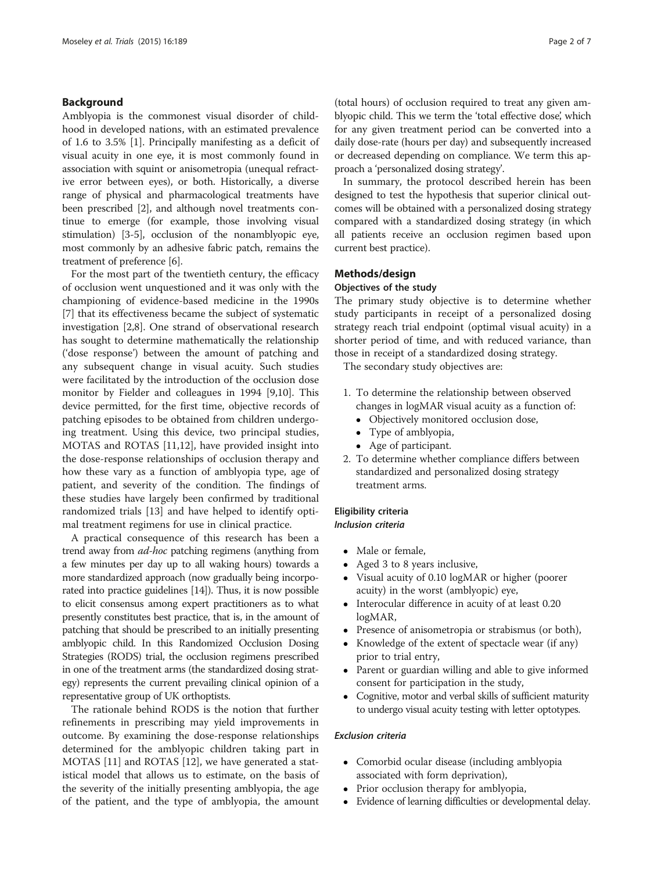# Background

Amblyopia is the commonest visual disorder of childhood in developed nations, with an estimated prevalence of 1.6 to 3.5% [[1\]](#page-6-0). Principally manifesting as a deficit of visual acuity in one eye, it is most commonly found in association with squint or anisometropia (unequal refractive error between eyes), or both. Historically, a diverse range of physical and pharmacological treatments have been prescribed [\[2\]](#page-6-0), and although novel treatments continue to emerge (for example, those involving visual stimulation) [[3-5\]](#page-6-0), occlusion of the nonamblyopic eye, most commonly by an adhesive fabric patch, remains the treatment of preference [\[6](#page-6-0)].

For the most part of the twentieth century, the efficacy of occlusion went unquestioned and it was only with the championing of evidence-based medicine in the 1990s [[7\]](#page-6-0) that its effectiveness became the subject of systematic investigation [\[2,8](#page-6-0)]. One strand of observational research has sought to determine mathematically the relationship ('dose response') between the amount of patching and any subsequent change in visual acuity. Such studies were facilitated by the introduction of the occlusion dose monitor by Fielder and colleagues in 1994 [[9,10\]](#page-6-0). This device permitted, for the first time, objective records of patching episodes to be obtained from children undergoing treatment. Using this device, two principal studies, MOTAS and ROTAS [[11](#page-6-0),[12](#page-6-0)], have provided insight into the dose-response relationships of occlusion therapy and how these vary as a function of amblyopia type, age of patient, and severity of the condition. The findings of these studies have largely been confirmed by traditional randomized trials [[13\]](#page-6-0) and have helped to identify optimal treatment regimens for use in clinical practice.

A practical consequence of this research has been a trend away from ad-hoc patching regimens (anything from a few minutes per day up to all waking hours) towards a more standardized approach (now gradually being incorporated into practice guidelines [[14](#page-6-0)]). Thus, it is now possible to elicit consensus among expert practitioners as to what presently constitutes best practice, that is, in the amount of patching that should be prescribed to an initially presenting amblyopic child. In this Randomized Occlusion Dosing Strategies (RODS) trial, the occlusion regimens prescribed in one of the treatment arms (the standardized dosing strategy) represents the current prevailing clinical opinion of a representative group of UK orthoptists.

The rationale behind RODS is the notion that further refinements in prescribing may yield improvements in outcome. By examining the dose-response relationships determined for the amblyopic children taking part in MOTAS [[11](#page-6-0)] and ROTAS [\[12\]](#page-6-0), we have generated a statistical model that allows us to estimate, on the basis of the severity of the initially presenting amblyopia, the age of the patient, and the type of amblyopia, the amount

(total hours) of occlusion required to treat any given amblyopic child. This we term the 'total effective dose', which for any given treatment period can be converted into a daily dose-rate (hours per day) and subsequently increased or decreased depending on compliance. We term this approach a 'personalized dosing strategy'.

In summary, the protocol described herein has been designed to test the hypothesis that superior clinical outcomes will be obtained with a personalized dosing strategy compared with a standardized dosing strategy (in which all patients receive an occlusion regimen based upon current best practice).

# Methods/design

#### Objectives of the study

The primary study objective is to determine whether study participants in receipt of a personalized dosing strategy reach trial endpoint (optimal visual acuity) in a shorter period of time, and with reduced variance, than those in receipt of a standardized dosing strategy.

The secondary study objectives are:

- 1. To determine the relationship between observed changes in logMAR visual acuity as a function of:
	- Objectively monitored occlusion dose,
	- Type of amblyopia,
	- Age of participant.
- 2. To determine whether compliance differs between standardized and personalized dosing strategy treatment arms.

# Eligibility criteria Inclusion criteria

- Male or female,
- Aged 3 to 8 years inclusive,
- Visual acuity of 0.10 logMAR or higher (poorer acuity) in the worst (amblyopic) eye,
- Interocular difference in acuity of at least 0.20 logMAR,
- Presence of anisometropia or strabismus (or both),
- Knowledge of the extent of spectacle wear (if any) prior to trial entry,
- Parent or guardian willing and able to give informed consent for participation in the study,
- Cognitive, motor and verbal skills of sufficient maturity to undergo visual acuity testing with letter optotypes.

#### Exclusion criteria

- Comorbid ocular disease (including amblyopia associated with form deprivation),
- Prior occlusion therapy for amblyopia,
- Evidence of learning difficulties or developmental delay.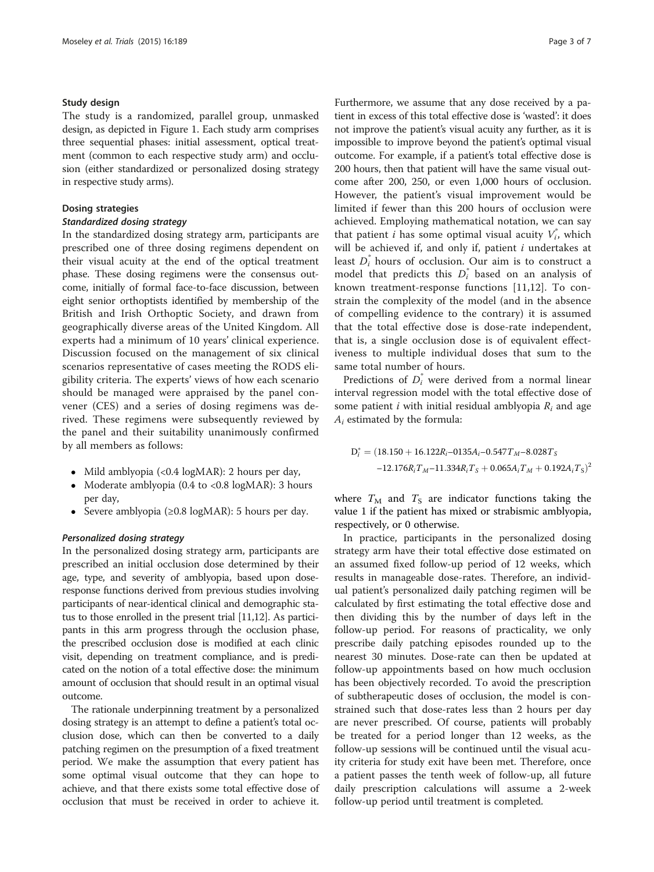#### Study design

The study is a randomized, parallel group, unmasked design, as depicted in Figure [1](#page-3-0). Each study arm comprises three sequential phases: initial assessment, optical treatment (common to each respective study arm) and occlusion (either standardized or personalized dosing strategy in respective study arms).

#### Dosing strategies

# Standardized dosing strategy

In the standardized dosing strategy arm, participants are prescribed one of three dosing regimens dependent on their visual acuity at the end of the optical treatment phase. These dosing regimens were the consensus outcome, initially of formal face-to-face discussion, between eight senior orthoptists identified by membership of the British and Irish Orthoptic Society, and drawn from geographically diverse areas of the United Kingdom. All experts had a minimum of 10 years' clinical experience. Discussion focused on the management of six clinical scenarios representative of cases meeting the RODS eligibility criteria. The experts' views of how each scenario should be managed were appraised by the panel convener (CES) and a series of dosing regimens was derived. These regimens were subsequently reviewed by the panel and their suitability unanimously confirmed by all members as follows:

- Mild amblyopia (<0.4 logMAR): 2 hours per day,
- Moderate amblyopia (0.4 to <0.8 logMAR): 3 hours per day,
- Severe amblyopia (≥0.8 logMAR): 5 hours per day.

# Personalized dosing strategy

In the personalized dosing strategy arm, participants are prescribed an initial occlusion dose determined by their age, type, and severity of amblyopia, based upon doseresponse functions derived from previous studies involving participants of near-identical clinical and demographic status to those enrolled in the present trial [[11,12\]](#page-6-0). As participants in this arm progress through the occlusion phase, the prescribed occlusion dose is modified at each clinic visit, depending on treatment compliance, and is predicated on the notion of a total effective dose: the minimum amount of occlusion that should result in an optimal visual outcome.

The rationale underpinning treatment by a personalized dosing strategy is an attempt to define a patient's total occlusion dose, which can then be converted to a daily patching regimen on the presumption of a fixed treatment period. We make the assumption that every patient has some optimal visual outcome that they can hope to achieve, and that there exists some total effective dose of occlusion that must be received in order to achieve it. Furthermore, we assume that any dose received by a patient in excess of this total effective dose is 'wasted': it does not improve the patient's visual acuity any further, as it is impossible to improve beyond the patient's optimal visual outcome. For example, if a patient's total effective dose is 200 hours, then that patient will have the same visual outcome after 200, 250, or even 1,000 hours of occlusion. However, the patient's visual improvement would be limited if fewer than this 200 hours of occlusion were achieved. Employing mathematical notation, we can say that patient *i* has some optimal visual acuity  $V_i^*$ , which will be achieved if, and only if, patient  $i$  undertakes at least  $D_i^*$  hours of occlusion. Our aim is to construct a model that predicts this  $D_i^*$  based on an analysis of known treatment-response functions [\[11,12\]](#page-6-0). To constrain the complexity of the model (and in the absence of compelling evidence to the contrary) it is assumed that the total effective dose is dose-rate independent, that is, a single occlusion dose is of equivalent effectiveness to multiple individual doses that sum to the same total number of hours.

Predictions of  $D_i^*$  were derived from a normal linear interval regression model with the total effective dose of some patient *i* with initial residual amblyopia  $R_i$  and age  $A_i$  estimated by the formula:

$$
D_i^* = (18.150 + 16.122R_i - 0135A_i - 0.547T_M - 8.028T_S - 12.176R_iT_M - 11.334R_iT_S + 0.065A_iT_M + 0.192A_iT_S)^2
$$

where  $T_M$  and  $T_S$  are indicator functions taking the value 1 if the patient has mixed or strabismic amblyopia, respectively, or 0 otherwise.

In practice, participants in the personalized dosing strategy arm have their total effective dose estimated on an assumed fixed follow-up period of 12 weeks, which results in manageable dose-rates. Therefore, an individual patient's personalized daily patching regimen will be calculated by first estimating the total effective dose and then dividing this by the number of days left in the follow-up period. For reasons of practicality, we only prescribe daily patching episodes rounded up to the nearest 30 minutes. Dose-rate can then be updated at follow-up appointments based on how much occlusion has been objectively recorded. To avoid the prescription of subtherapeutic doses of occlusion, the model is constrained such that dose-rates less than 2 hours per day are never prescribed. Of course, patients will probably be treated for a period longer than 12 weeks, as the follow-up sessions will be continued until the visual acuity criteria for study exit have been met. Therefore, once a patient passes the tenth week of follow-up, all future daily prescription calculations will assume a 2-week follow-up period until treatment is completed.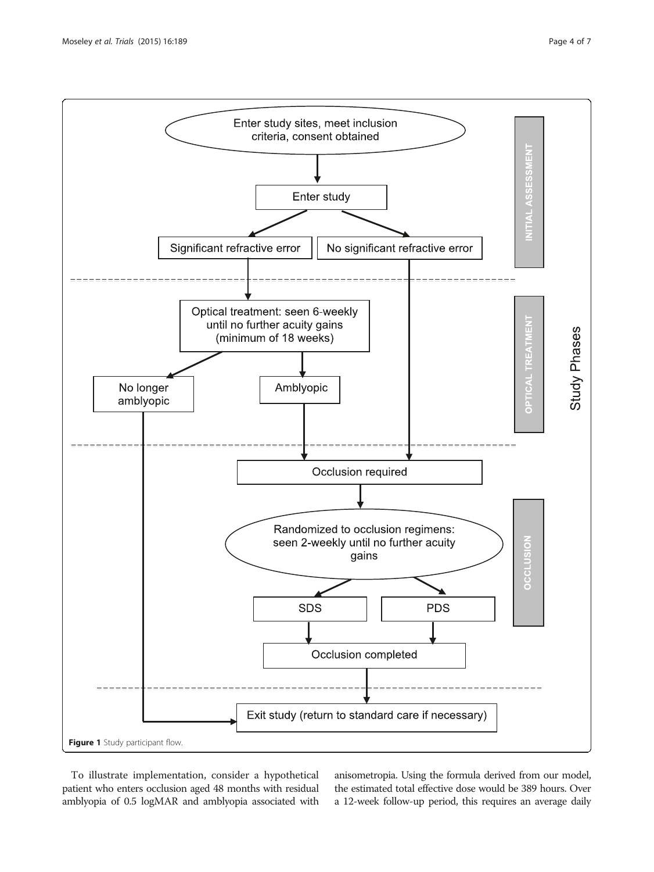<span id="page-3-0"></span>

To illustrate implementation, consider a hypothetical patient who enters occlusion aged 48 months with residual amblyopia of 0.5 logMAR and amblyopia associated with

anisometropia. Using the formula derived from our model, the estimated total effective dose would be 389 hours. Over a 12-week follow-up period, this requires an average daily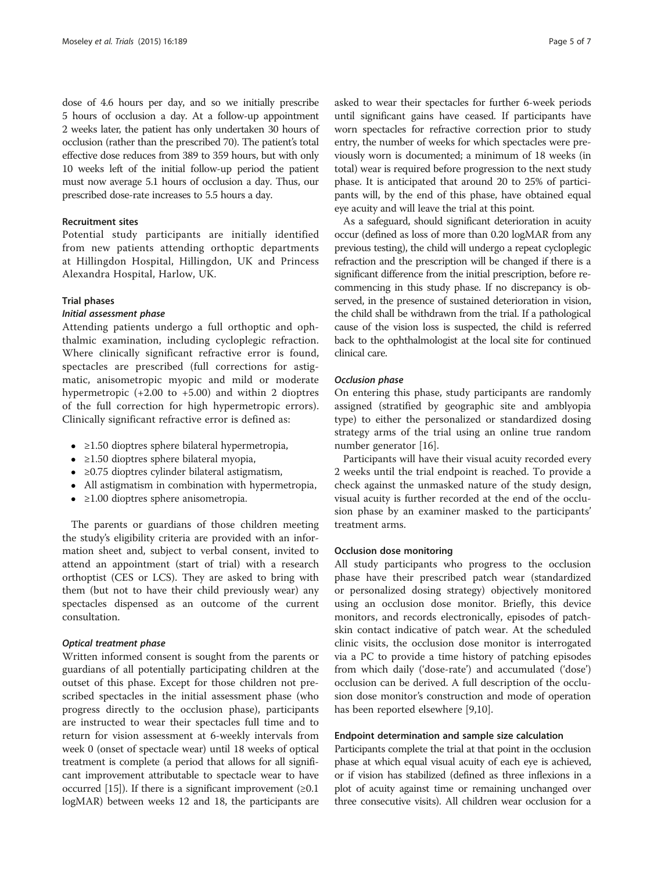dose of 4.6 hours per day, and so we initially prescribe 5 hours of occlusion a day. At a follow-up appointment 2 weeks later, the patient has only undertaken 30 hours of occlusion (rather than the prescribed 70). The patient's total effective dose reduces from 389 to 359 hours, but with only 10 weeks left of the initial follow-up period the patient must now average 5.1 hours of occlusion a day. Thus, our prescribed dose-rate increases to 5.5 hours a day.

# Recruitment sites

Potential study participants are initially identified from new patients attending orthoptic departments at Hillingdon Hospital, Hillingdon, UK and Princess Alexandra Hospital, Harlow, UK.

#### Trial phases

# Initial assessment phase

Attending patients undergo a full orthoptic and ophthalmic examination, including cycloplegic refraction. Where clinically significant refractive error is found, spectacles are prescribed (full corrections for astigmatic, anisometropic myopic and mild or moderate hypermetropic  $(+2.00 \text{ to } +5.00)$  and within 2 dioptres of the full correction for high hypermetropic errors). Clinically significant refractive error is defined as:

- ≥1.50 dioptres sphere bilateral hypermetropia,
- ≥1.50 dioptres sphere bilateral myopia,
- ≥0.75 dioptres cylinder bilateral astigmatism,
- All astigmatism in combination with hypermetropia,
- ≥1.00 dioptres sphere anisometropia.

The parents or guardians of those children meeting the study's eligibility criteria are provided with an information sheet and, subject to verbal consent, invited to attend an appointment (start of trial) with a research orthoptist (CES or LCS). They are asked to bring with them (but not to have their child previously wear) any spectacles dispensed as an outcome of the current consultation.

# Optical treatment phase

Written informed consent is sought from the parents or guardians of all potentially participating children at the outset of this phase. Except for those children not prescribed spectacles in the initial assessment phase (who progress directly to the occlusion phase), participants are instructed to wear their spectacles full time and to return for vision assessment at 6-weekly intervals from week 0 (onset of spectacle wear) until 18 weeks of optical treatment is complete (a period that allows for all significant improvement attributable to spectacle wear to have occurred [\[15](#page-6-0)]). If there is a significant improvement  $(\geq 0.1)$ logMAR) between weeks 12 and 18, the participants are

asked to wear their spectacles for further 6-week periods until significant gains have ceased. If participants have worn spectacles for refractive correction prior to study entry, the number of weeks for which spectacles were previously worn is documented; a minimum of 18 weeks (in total) wear is required before progression to the next study phase. It is anticipated that around 20 to 25% of participants will, by the end of this phase, have obtained equal eye acuity and will leave the trial at this point.

As a safeguard, should significant deterioration in acuity occur (defined as loss of more than 0.20 logMAR from any previous testing), the child will undergo a repeat cycloplegic refraction and the prescription will be changed if there is a significant difference from the initial prescription, before recommencing in this study phase. If no discrepancy is observed, in the presence of sustained deterioration in vision, the child shall be withdrawn from the trial. If a pathological cause of the vision loss is suspected, the child is referred back to the ophthalmologist at the local site for continued clinical care.

#### Occlusion phase

On entering this phase, study participants are randomly assigned (stratified by geographic site and amblyopia type) to either the personalized or standardized dosing strategy arms of the trial using an online true random number generator [[16\]](#page-6-0).

Participants will have their visual acuity recorded every 2 weeks until the trial endpoint is reached. To provide a check against the unmasked nature of the study design, visual acuity is further recorded at the end of the occlusion phase by an examiner masked to the participants' treatment arms.

# Occlusion dose monitoring

All study participants who progress to the occlusion phase have their prescribed patch wear (standardized or personalized dosing strategy) objectively monitored using an occlusion dose monitor. Briefly, this device monitors, and records electronically, episodes of patchskin contact indicative of patch wear. At the scheduled clinic visits, the occlusion dose monitor is interrogated via a PC to provide a time history of patching episodes from which daily ('dose-rate') and accumulated ('dose') occlusion can be derived. A full description of the occlusion dose monitor's construction and mode of operation has been reported elsewhere [\[9,10](#page-6-0)].

#### Endpoint determination and sample size calculation

Participants complete the trial at that point in the occlusion phase at which equal visual acuity of each eye is achieved, or if vision has stabilized (defined as three inflexions in a plot of acuity against time or remaining unchanged over three consecutive visits). All children wear occlusion for a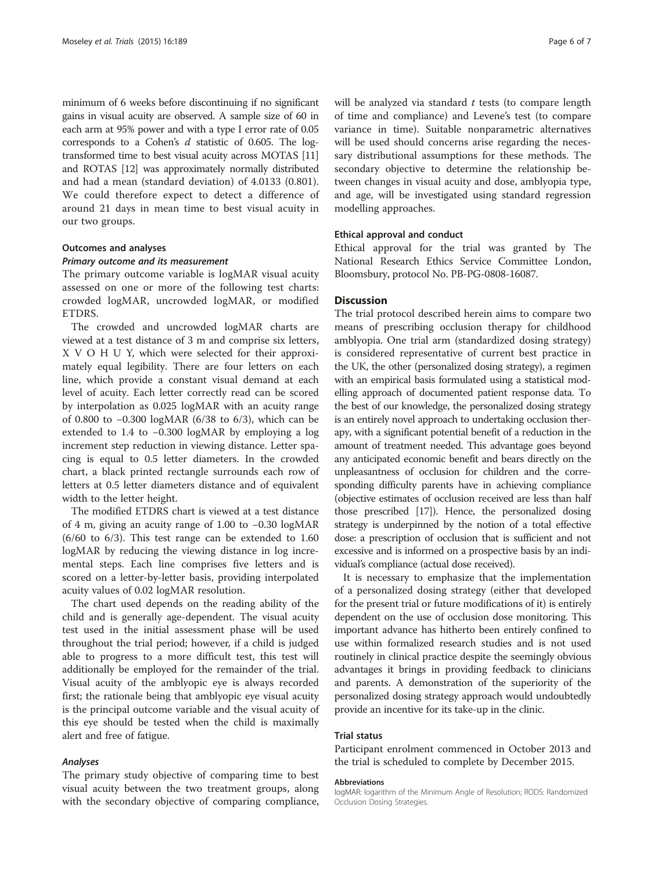minimum of 6 weeks before discontinuing if no significant gains in visual acuity are observed. A sample size of 60 in each arm at 95% power and with a type I error rate of 0.05 corresponds to a Cohen's d statistic of 0.605. The logtransformed time to best visual acuity across MOTAS [\[11](#page-6-0)] and ROTAS [[12](#page-6-0)] was approximately normally distributed and had a mean (standard deviation) of 4.0133 (0.801). We could therefore expect to detect a difference of around 21 days in mean time to best visual acuity in our two groups.

#### Outcomes and analyses

#### Primary outcome and its measurement

The primary outcome variable is logMAR visual acuity assessed on one or more of the following test charts: crowded logMAR, uncrowded logMAR, or modified ETDRS.

The crowded and uncrowded logMAR charts are viewed at a test distance of 3 m and comprise six letters, X V O H U Y, which were selected for their approximately equal legibility. There are four letters on each line, which provide a constant visual demand at each level of acuity. Each letter correctly read can be scored by interpolation as 0.025 logMAR with an acuity range of 0.800 to −0.300 logMAR (6/38 to 6/3), which can be extended to 1.4 to −0.300 logMAR by employing a log increment step reduction in viewing distance. Letter spacing is equal to 0.5 letter diameters. In the crowded chart, a black printed rectangle surrounds each row of letters at 0.5 letter diameters distance and of equivalent width to the letter height.

The modified ETDRS chart is viewed at a test distance of 4 m, giving an acuity range of 1.00 to −0.30 logMAR (6/60 to 6/3). This test range can be extended to 1.60 logMAR by reducing the viewing distance in log incremental steps. Each line comprises five letters and is scored on a letter-by-letter basis, providing interpolated acuity values of 0.02 logMAR resolution.

The chart used depends on the reading ability of the child and is generally age-dependent. The visual acuity test used in the initial assessment phase will be used throughout the trial period; however, if a child is judged able to progress to a more difficult test, this test will additionally be employed for the remainder of the trial. Visual acuity of the amblyopic eye is always recorded first; the rationale being that amblyopic eye visual acuity is the principal outcome variable and the visual acuity of this eye should be tested when the child is maximally alert and free of fatigue.

#### Analyses

The primary study objective of comparing time to best visual acuity between the two treatment groups, along with the secondary objective of comparing compliance, will be analyzed via standard  $t$  tests (to compare length of time and compliance) and Levene's test (to compare variance in time). Suitable nonparametric alternatives will be used should concerns arise regarding the necessary distributional assumptions for these methods. The secondary objective to determine the relationship between changes in visual acuity and dose, amblyopia type, and age, will be investigated using standard regression modelling approaches.

#### Ethical approval and conduct

Ethical approval for the trial was granted by The National Research Ethics Service Committee London, Bloomsbury, protocol No. PB-PG-0808-16087.

#### **Discussion**

The trial protocol described herein aims to compare two means of prescribing occlusion therapy for childhood amblyopia. One trial arm (standardized dosing strategy) is considered representative of current best practice in the UK, the other (personalized dosing strategy), a regimen with an empirical basis formulated using a statistical modelling approach of documented patient response data. To the best of our knowledge, the personalized dosing strategy is an entirely novel approach to undertaking occlusion therapy, with a significant potential benefit of a reduction in the amount of treatment needed. This advantage goes beyond any anticipated economic benefit and bears directly on the unpleasantness of occlusion for children and the corresponding difficulty parents have in achieving compliance (objective estimates of occlusion received are less than half those prescribed [[17](#page-6-0)]). Hence, the personalized dosing strategy is underpinned by the notion of a total effective dose: a prescription of occlusion that is sufficient and not excessive and is informed on a prospective basis by an individual's compliance (actual dose received).

It is necessary to emphasize that the implementation of a personalized dosing strategy (either that developed for the present trial or future modifications of it) is entirely dependent on the use of occlusion dose monitoring. This important advance has hitherto been entirely confined to use within formalized research studies and is not used routinely in clinical practice despite the seemingly obvious advantages it brings in providing feedback to clinicians and parents. A demonstration of the superiority of the personalized dosing strategy approach would undoubtedly provide an incentive for its take-up in the clinic.

#### Trial status

Participant enrolment commenced in October 2013 and the trial is scheduled to complete by December 2015.

#### Abbreviations

logMAR: logarithm of the Minimum Angle of Resolution; RODS: Randomized Occlusion Dosing Strategies.